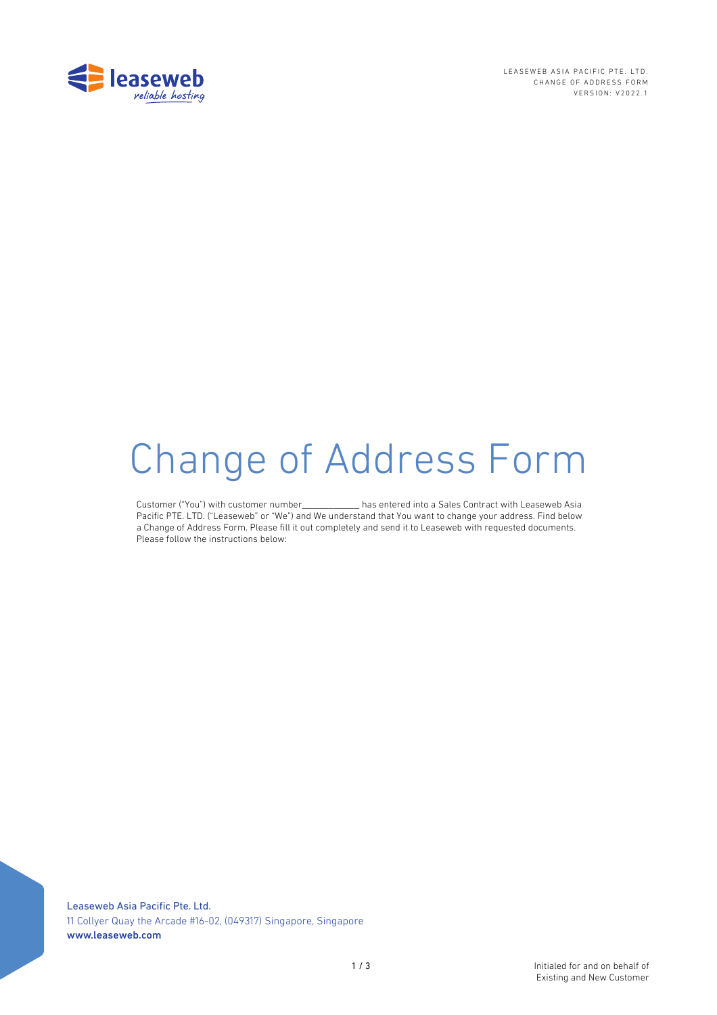

LEASEWEB ASIA PACIFIC PTE. LTD. CHANGE OF ADDRESS FORM VERSION: V2022.1

# Change of Address Form

Customer ("You") with customer number\_\_\_\_\_\_\_\_\_\_\_\_\_ has entered into a Sales Contract with Leaseweb Asia Pacific PTE. LTD. ("Leaseweb" or "We") and We understand that You want to change your address. Find below a Change of Address Form. Please fill it out completely and send it to Leaseweb with requested documents. Please follow the instructions below:

Leaseweb Asia Pacific Pte. Ltd. 11 Collyer Quay the Arcade #16-02, (049317) Singapore, Singapore www.leaseweb.com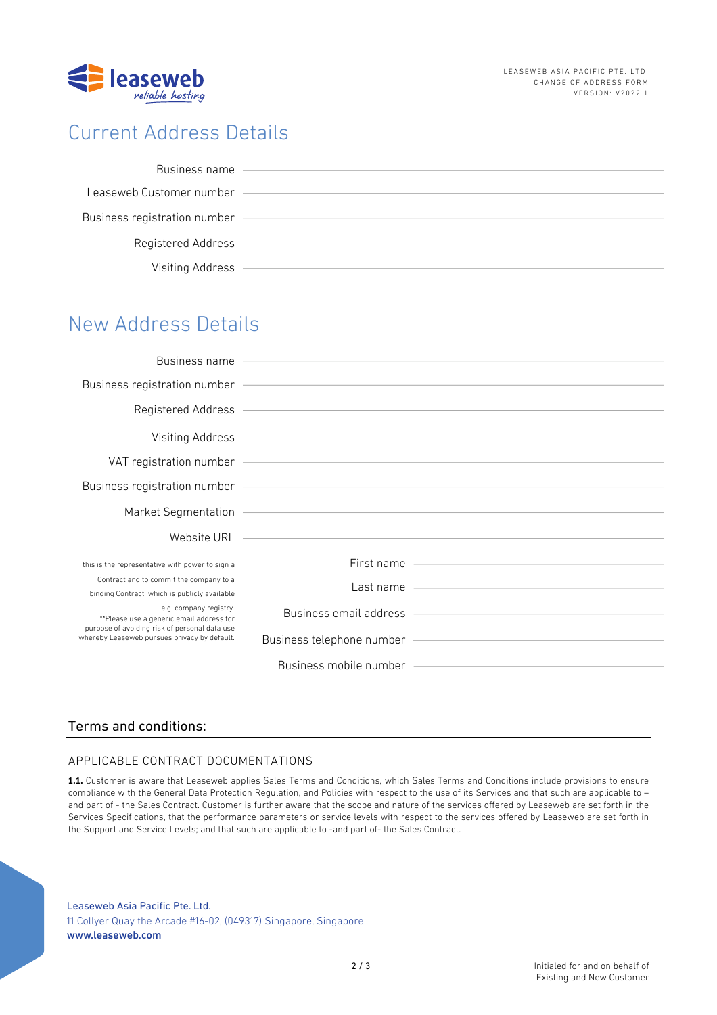

# Current Address Details

| Business name                |  |
|------------------------------|--|
|                              |  |
| Leaseweb Customer number     |  |
|                              |  |
| Business registration number |  |
|                              |  |
| Registered Address           |  |
|                              |  |
|                              |  |
| Visiting Address             |  |

# New Address Details

| Business name                                                                                                                                                       |                                                                                                                                                                                                                                      |                                                                                                                                                                                                                                      |
|---------------------------------------------------------------------------------------------------------------------------------------------------------------------|--------------------------------------------------------------------------------------------------------------------------------------------------------------------------------------------------------------------------------------|--------------------------------------------------------------------------------------------------------------------------------------------------------------------------------------------------------------------------------------|
|                                                                                                                                                                     | Business registration number - The Context of the Context of the Context of the Context of the Context of the Context of the Context of the Context of the Context of the Context of the Context of the Context of the Context       |                                                                                                                                                                                                                                      |
|                                                                                                                                                                     |                                                                                                                                                                                                                                      | Registered Address <b>Contract Contract Contract Contract Contract Contract Contract Contract Contract Contract Contract Contract Contract Contract Contract Contract Contract Contract Contract Contract Contract Contract Cont</b> |
|                                                                                                                                                                     | Visiting Address <b>Container and Container and Container and Container and Container and Container and Container</b>                                                                                                                |                                                                                                                                                                                                                                      |
|                                                                                                                                                                     |                                                                                                                                                                                                                                      |                                                                                                                                                                                                                                      |
|                                                                                                                                                                     | Business registration number (Called and Called and Called and Called and Called and Called and Called and Cal                                                                                                                       |                                                                                                                                                                                                                                      |
|                                                                                                                                                                     | Market Segmentation <b>Construction</b> and the second construction of the second construction of the second construction of the second construction of the second construction of the second construction of the second constructi  |                                                                                                                                                                                                                                      |
|                                                                                                                                                                     | Website URL <b>Contract Contract Contract Contract Contract Contract Contract Contract Contract Contract Contract Contract Contract Contract Contract Contract Contract Contract Contract Contract Contract Contract Contract Co</b> |                                                                                                                                                                                                                                      |
| this is the representative with power to sign a                                                                                                                     |                                                                                                                                                                                                                                      | First name                                                                                                                                                                                                                           |
| Contract and to commit the company to a<br>binding Contract, which is publicly available                                                                            |                                                                                                                                                                                                                                      | Last name                                                                                                                                                                                                                            |
| e.g. company registry.<br>**Please use a generic email address for<br>purpose of avoiding risk of personal data use<br>whereby Leaseweb pursues privacy by default. |                                                                                                                                                                                                                                      | Business email address <b>Constanting Constanting Constanting Constanting Constanting Constanting Constanting Constanting Constanting Constanting Constanting Constanting Constanting Constanting Constanting Constanting Consta</b> |
|                                                                                                                                                                     |                                                                                                                                                                                                                                      |                                                                                                                                                                                                                                      |
|                                                                                                                                                                     | Business mobile number                                                                                                                                                                                                               |                                                                                                                                                                                                                                      |

## Terms and conditions:

## APPLICABLE CONTRACT DOCUMENTATIONS

**1.1.** Customer is aware that Leaseweb applies Sales Terms and Conditions, which Sales Terms and Conditions include provisions to ensure compliance with the General Data Protection Regulation, and Policies with respect to the use of its Services and that such are applicable to – and part of - the Sales Contract. Customer is further aware that the scope and nature of the services offered by Leaseweb are set forth in the Services Specifications, that the performance parameters or service levels with respect to the services offered by Leaseweb are set forth in the Support and Service Levels; and that such are applicable to -and part of- the Sales Contract.

Leaseweb Asia Pacific Pte. Ltd. 11 Collyer Quay the Arcade #16-02, (049317) Singapore, Singapore www.leaseweb.com